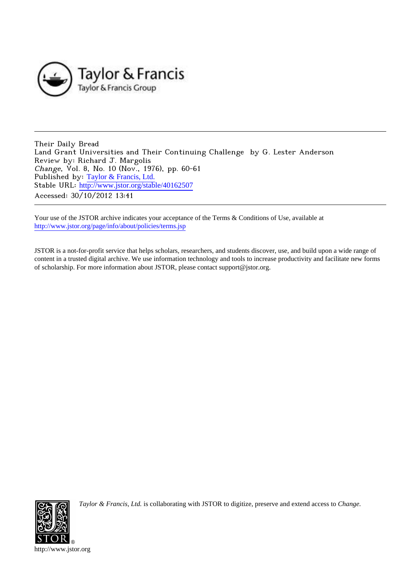

Their Daily Bread Land Grant Universities and Their Continuing Challenge by G. Lester Anderson Review by: Richard J. Margolis Change, Vol. 8, No. 10 (Nov., 1976), pp. 60-61 Published by: [Taylor & Francis, Ltd.](http://www.jstor.org/action/showPublisher?publisherCode=taylorfrancis) Stable URL: http://www.jstor.org/stable/40162507 Accessed: 30/10/2012 13:41

Your use of the JSTOR archive indicates your acceptance of the Terms & Conditions of Use, available at <http://www.jstor.org/page/info/about/policies/terms.jsp>

JSTOR is a not-for-profit service that helps scholars, researchers, and students discover, use, and build upon a wide range of content in a trusted digital archive. We use information technology and tools to increase productivity and facilitate new forms of scholarship. For more information about JSTOR, please contact support@jstor.org.



*Taylor & Francis, Ltd.* is collaborating with JSTOR to digitize, preserve and extend access to *Change.*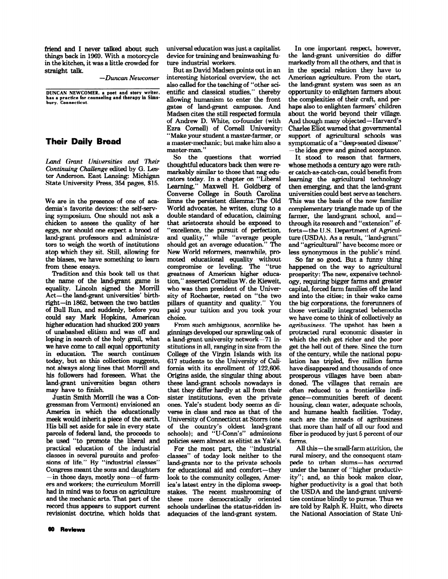**friend and I never talked about such things back in 1969. With a motorcycle in the kitchen, it was a little crowded for straight talk.** 

**-Duncan Newcomer** 

## **Their Daily Bread**

**Land Grant Universities and Their Continuing Challenge edited by G. Lester Anderson. East Lansing: Michigan State University Press, 354 pages, \$15.** 

**We are in the presence of one of academia's favorite devices: the self-serving symposium. One should not ask a chicken to assess the quality of her eggs, nor should one expect a brood of land-grant professors and administrators to weigh the worth of institutions atop which they sit. Still, allowing for the biases, we have something to learn from these essays.** 

**Tradition and this book tell us that the name of the land-grant game is equality. Lincoln signed the Morrill Act- the land-grant universities' birthright-in 1862, between the two battles of Bull Run, and suddenly, before you could say Mark Hopkins, American higher education had shucked 200 years of unabashed elitism and was off and loping in search of the holy grail, what we have come to call equal opportunity in education. The search continues today, but as this collection suggests, not always along lines that Morrill and his followers had foreseen. What the land-grant universities began others may have to finish.** 

**Justin Smith Morrill (he was a Congressman from Vermont) envisioned an America in which the educationally meek would inherit a piece of the earth. His bill set aside for sale in every state parcels of federal land, the proceeds to be used "to promote the liberal and practical education of the industrial classes in several pursuits and professions of life." By "industrial classes" Congress meant the sons and daughters -in those days, mostly sons- of farmers and workers; the curriculum Morrill had in mind was to focus on agriculture and the mechanic arts. That part of the record thus appears to support current revisionist doctrine, which holds that** 

**ture industrial workers.** 

**entific and classical studies," thereby allowing humanism to enter the front gates of land-grant campuses. And Madsen cites the still respected formula of Andrew D. White, co-founder (with Ezra Cornell) of Cornell University: "Make your student a master-farmer, or a master-mechanic; but make him also a master-man."** 

**universal education was just a capitalist device for training and brainwashing fu-**

**But as David Madsen points out in an** 

**So the questions that worried thoughtful educators back then were remarkably similar to those that nag educators today. In a chapter on "Liberal Learning," Maxwell H. Goldberg of Converse College in South Carolina limns the persistent dilemma: The Old World advocates, he writes, clung to a double standard of education, claiming that aristocrats should be exposed to "excellence, the pursuit of perfection, and quality," while "average people should get an average education." The New World reformers, meanwhile, promoted educational equality without compromise or leveling. The "true greatness of American higher education," asserted Cornelius W. de Kieweit, who was then president of the University of Rochester, rested on "the two pillars of quantity and quality." You paid your tuition and you took your choice.** 

**From such ambiguous, acornlike beginnings developed our sprawling oak of a land-grant university network- 71 institutions in all, ranging in size from the College of the Virgin Islands with its 617 students to the University of California with its enrollment of 122,606. Origins aside, the singular thing about these land-grant schools nowadays is that they differ hardly at all from their sister institutions, even the private ones. Yale's student body seems as diverse in class and race as that of the University of Connecticut at Storrs (one of the country's oldest land-grant schools); and "U-Conn's" admissions policies seem almost as elitist as Yale's.** 

**For the most part, the "industrial classes" of today look neither to the land-grants nor to the private schools for educational aid and comfort- they look to the community colleges, America's latest entry in the diploma sweepstakes. The recent mushrooming of these more democratically oriented schools underlines the status-ridden inadequacies of the land-grant system.** 

**In one important respect, however, the land-grant universities do differ markedly from all the others, and that is in the special relation they have to American agriculture. From the start, the land-grant system was seen as an opportunity to enlighten farmers about the complexities of their craft, and perhaps also to enlighten farmers' children about the world beyond their village. And though many objected- Harvard's Charles Eliot warned that governmental support of agricultural schools was symptomatic of a "deep-seated disease"** 

**-the idea grew and gained acceptance. It stood to reason that farmers, whose methods a century ago were rather catch-as-catch-can, could benefit from learning the agricultural technology then emerging, and that the land-grant universities could best serve as teachers. This was the basis of the now familiar complementary triangle made up of the farmer, the land-grant school, andthrough its research and "extension" efforts-the U.S. Department of Agriculture (USDA). As a result, "land-grant" and "agricultural" have become more or less synonymous in the public's mind.** 

**So far so good. But a funny thing happened on the way to agricultural prosperity: The new, expensive technol**ogy, requiring bigger farms and greater **capital, forced farm families off the land and into the cities; in their wake came the big corporations, the forerunners of those vertically integrated behemoths we have come to think of collectively as agribusiness. The upshot has been a protracted rural economic disaster in which the rich get richer and the poor get the hell out of there. Since the turn of the century, while the national population has tripled, five million farms have disappeared and thousands of once prosperous villages have been abandoned. The villages that remain are often reduced to a frontierlike indigence-communities bereft of decent housing, clean water, adequate schools, and humane health facilities. Today, such are the inroads of agribusiness that more than half of all our food and fiber is produced by just 5 percent of our farms.** 

**All this- the small-farm attrition, the rural misery, and the consequent stampede to urban slums- has occurred under the banner of "higher productivity"; and, as this book makes clear, higher productivity is a goal that both the USDA and the land-grant universities continue blindly to pursue. Thus we are told by Ralph K. Huitt, who directs the National Association of State Uni-**

**DUNCAN NEWCOMER, a poet and story writer, has a practice for counseling and therapy in Sims-bury, Connecticut.**